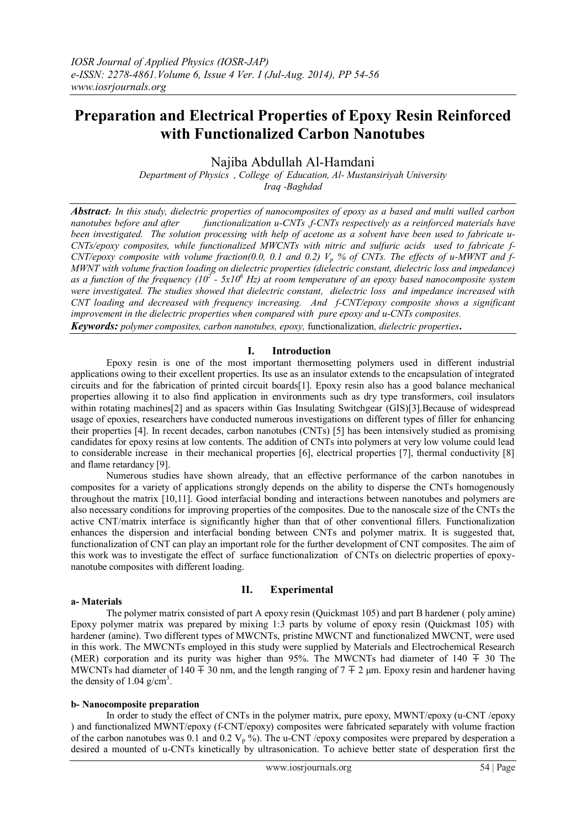# **Preparation and Electrical Properties of Epoxy Resin Reinforced with Functionalized Carbon Nanotubes**

Najiba Abdullah Al-Hamdani

*Department of Physics , College of Education, Al- Mustansiriyah University Iraq -Baghdad*

*Abstract:* In this study, dielectric properties of nanocomposites of epoxy as a based and multi walled carbon nanotubes before and after functionalization u-CNTs *f*-CNTs respectively as a reinforced materials have *nanotubes before and after functionalization u-CNTs ,f-CNTs respectively as a reinforced materials have been investigated. The solution processing with help of acetone as a solvent have been used to fabricate u-CNTs/epoxy composites, while functionalized MWCNTs with nitric and sulfuric acids used to fabricate f-CNT/epoxy composite with volume fraction(0.0, 0.1 and 0.2) V<sup>p</sup> % of CNTs. The effects of u-MWNT and f-MWNT with volume fraction loading on dielectric properties (dielectric constant, dielectric loss and impedance) as a function of the frequency (10<sup>2</sup> - 5x10<sup>6</sup> Hz) at room temperature of an epoxy based nanocomposite system were investigated. The studies showed that dielectric constant, dielectric loss and impedance increased with CNT loading and decreased with frequency increasing. And f-CNT/epoxy composite shows a significant improvement in the dielectric properties when compared with pure epoxy and u-CNTs composites. Keywords: polymer composites, carbon nanotubes, epoxy,* functionalization*, dielectric properties***.**

## **I. Introduction**

Epoxy resin is one of the most important thermosetting polymers used in different industrial applications owing to their excellent properties. Its use as an insulator extends to the encapsulation of integrated circuits and for the fabrication of printed circuit boards[1]. Epoxy resin also has a good balance mechanical properties allowing it to also find application in environments such as dry type transformers, coil insulators within rotating machines<sup>[2]</sup> and as spacers within Gas Insulating Switchgear (GIS)<sup>[3]</sup>. Because of widespread usage of epoxies, researchers have conducted numerous investigations on different types of filler for enhancing their properties [4]. In recent decades, carbon nanotubes (CNTs) [5] has been intensively studied as promising candidates for epoxy resins at low contents. The addition of CNTs into polymers at very low volume could lead to considerable increase in their mechanical properties [6], electrical properties [7], thermal conductivity [8] and flame retardancy [9].

Numerous studies have shown already, that an effective performance of the carbon nanotubes in composites for a variety of applications strongly depends on the ability to disperse the CNTs homogenously throughout the matrix [10,11]. Good interfacial bonding and interactions between nanotubes and polymers are also necessary conditions for improving properties of the composites. Due to the nanoscale size of the CNTs the active CNT/matrix interface is significantly higher than that of other conventional fillers. Functionalization enhances the dispersion and interfacial bonding between CNTs and polymer matrix. It is suggested that, functionalization of CNT can play an important role for the further development of CNT composites. The aim of this work was to investigate the effect of surface functionalization of CNTs on dielectric properties of epoxynanotube composites with different loading.

## **II. Experimental**

### **a- Materials**

The polymer matrix consisted of part A epoxy resin (Quickmast 105) and part B hardener ( poly amine) Epoxy polymer matrix was prepared by mixing 1:3 parts by volume of epoxy resin (Quickmast 105) with hardener (amine). Two different types of MWCNTs, pristine MWCNT and functionalized MWCNT, were used in this work. The MWCNTs employed in this study were supplied by Materials and Electrochemical Research (MER) corporation and its purity was higher than 95%. The MWCNTs had diameter of 140  $\mp$  30 The MWCNTs had diameter of 140 ∓ 30 nm, and the length ranging of 7 ∓ 2 µm. Epoxy resin and hardener having the density of 1.04  $g/cm<sup>3</sup>$ .

### **b- Nanocomposite preparation**

In order to study the effect of CNTs in the polymer matrix, pure epoxy, MWNT/epoxy (u-CNT /epoxy ) and functionalized MWNT/epoxy (f-CNT/epoxy) composites were fabricated separately with volume fraction of the carbon nanotubes was 0.1 and 0.2  $V_p$ %). The u-CNT /epoxy composites were prepared by desperation a desired a mounted of u-CNTs kinetically by ultrasonication. To achieve better state of desperation first the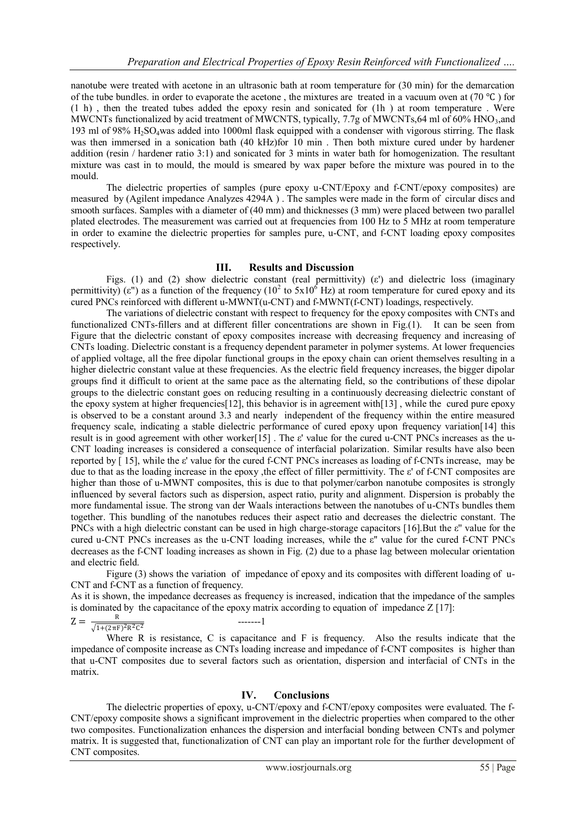nanotube were treated with acetone in an ultrasonic bath at room temperature for (30 min) for the demarcation of the tube bundles. in order to evaporate the acetone, the mixtures are treated in a vacuum oven at (70 °C) for (1 h) , then the treated tubes added the epoxy resin and sonicated for (1h ) at room temperature . Were MWCNTs functionalized by acid treatment of MWCNTS, typically, 7.7g of MWCNTs, 64 ml of 60% HNO3, and 193 ml of 98% H2SO4was added into 1000ml flask equipped with a condenser with vigorous stirring. The flask was then immersed in a sonication bath (40 kHz)for 10 min . Then both mixture cured under by hardener addition (resin / hardener ratio 3:1) and sonicated for 3 mints in water bath for homogenization. The resultant mixture was cast in to mould, the mould is smeared by wax paper before the mixture was poured in to the mould.

The dielectric properties of samples (pure epoxy u-CNT/Epoxy and f-CNT/epoxy composites) are measured by (Agilent impedance Analyzes 4294A ) . The samples were made in the form of circular discs and smooth surfaces. Samples with a diameter of (40 mm) and thicknesses (3 mm) were placed between two parallel plated electrodes. The measurement was carried out at frequencies from 100 Hz to 5 MHz at room temperature in order to examine the dielectric properties for samples pure, u-CNT, and f-CNT loading epoxy composites respectively.

## **III. Results and Discussion**

Figs. (1) and (2) show dielectric constant (real permittivity) (ε') and dielectric loss (imaginary permittivity) ( $\varepsilon$ ") as a function of the frequency (10<sup>2</sup> to 5x10<sup>6</sup> Hz) at room temperature for cured epoxy and its cured PNCs reinforced with different u-MWNT(u-CNT) and f-MWNT(f-CNT) loadings, respectively.

The variations of dielectric constant with respect to frequency for the epoxy composites with CNTs and functionalized CNTs-fillers and at different filler concentrations are shown in Fig.(1). It can be seen from Figure that the dielectric constant of epoxy composites increase with decreasing frequency and increasing of CNTs loading. Dielectric constant is a frequency dependent parameter in polymer systems. At lower frequencies of applied voltage, all the free dipolar functional groups in the epoxy chain can orient themselves resulting in a higher dielectric constant value at these frequencies. As the electric field frequency increases, the bigger dipolar groups find it difficult to orient at the same pace as the alternating field, so the contributions of these dipolar groups to the dielectric constant goes on reducing resulting in a continuously decreasing dielectric constant of the epoxy system at higher frequencies[12], this behavior is in agreement with[13] , while the cured pure epoxy is observed to be a constant around 3.3 and nearly independent of the frequency within the entire measured frequency scale, indicating a stable dielectric performance of cured epoxy upon frequency variation[14] this result is in good agreement with other worker[15] . The ε' value for the cured u-CNT PNCs increases as the u-CNT loading increases is considered a consequence of interfacial polarization. Similar results have also been reported by [ 15], while the ε' value for the cured f-CNT PNCs increases as loading of f-CNTs increase, may be due to that as the loading increase in the epoxy ,the effect of filler permittivity. The ε' of f-CNT composites are higher than those of u-MWNT composites, this is due to that polymer/carbon nanotube composites is strongly influenced by several factors such as dispersion, aspect ratio, purity and alignment. Dispersion is probably the more fundamental issue. The strong van der Waals interactions between the nanotubes of u-CNTs bundles them together. This bundling of the nanotubes reduces their aspect ratio and decreases the dielectric constant. The PNCs with a high dielectric constant can be used in high charge-storage capacitors [16].But the ε'' value for the cured u-CNT PNCs increases as the u-CNT loading increases, while the ε'' value for the cured f-CNT PNCs decreases as the f-CNT loading increases as shown in Fig. (2) due to a phase lag between molecular orientation and electric field.

Figure (3) shows the variation of impedance of epoxy and its composites with different loading of u-CNT and f-CNT as a function of frequency.

As it is shown, the impedance decreases as frequency is increased, indication that the impedance of the samples is dominated by the capacitance of the epoxy matrix according to equation of impedance  $Z$  [17]:

$$
Z = \frac{R}{\sqrt{1 + (2\pi F)^2 R^2 C^2}}
$$

$$
\qquad \qquad -----1
$$

Where R is resistance, C is capacitance and F is frequency. Also the results indicate that the impedance of composite increase as CNTs loading increase and impedance of f-CNT composites is higher than that u-CNT composites due to several factors such as orientation, dispersion and interfacial of CNTs in the matrix.

## **IV. Conclusions**

The dielectric properties of epoxy, u-CNT/epoxy and f-CNT/epoxy composites were evaluated. The f-CNT/epoxy composite shows a significant improvement in the dielectric properties when compared to the other two composites. Functionalization enhances the dispersion and interfacial bonding between CNTs and polymer matrix. It is suggested that, functionalization of CNT can play an important role for the further development of CNT composites.